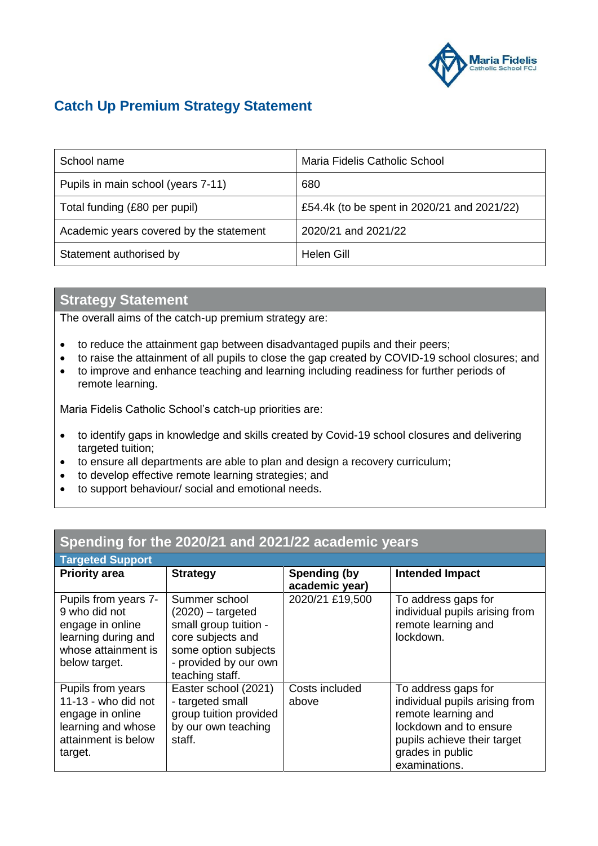

## **Catch Up Premium Strategy Statement**

| School name                             | Maria Fidelis Catholic School               |
|-----------------------------------------|---------------------------------------------|
| Pupils in main school (years 7-11)      | 680                                         |
| Total funding (£80 per pupil)           | £54.4k (to be spent in 2020/21 and 2021/22) |
| Academic years covered by the statement | 2020/21 and 2021/22                         |
| Statement authorised by                 | Helen Gill                                  |

## **Strategy Statement**

The overall aims of the catch-up premium strategy are:

- to reduce the attainment gap between disadvantaged pupils and their peers;
- to raise the attainment of all pupils to close the gap created by COVID-19 school closures; and
- to improve and enhance teaching and learning including readiness for further periods of remote learning.

Maria Fidelis Catholic School's catch-up priorities are:

- to identify gaps in knowledge and skills created by Covid-19 school closures and delivering targeted tuition;
- to ensure all departments are able to plan and design a recovery curriculum;
- to develop effective remote learning strategies; and
- to support behaviour/ social and emotional needs.

| Spending for the 2020/21 and 2021/22 academic years                                                                      |                                                                                                                                                        |                                |                                                                                                                                                                            |  |  |  |
|--------------------------------------------------------------------------------------------------------------------------|--------------------------------------------------------------------------------------------------------------------------------------------------------|--------------------------------|----------------------------------------------------------------------------------------------------------------------------------------------------------------------------|--|--|--|
| <b>Targeted Support</b>                                                                                                  |                                                                                                                                                        |                                |                                                                                                                                                                            |  |  |  |
| <b>Priority area</b>                                                                                                     | <b>Strategy</b>                                                                                                                                        | Spending (by<br>academic year) | <b>Intended Impact</b>                                                                                                                                                     |  |  |  |
| Pupils from years 7-<br>9 who did not<br>engage in online<br>learning during and<br>whose attainment is<br>below target. | Summer school<br>$(2020)$ – targeted<br>small group tuition -<br>core subjects and<br>some option subjects<br>- provided by our own<br>teaching staff. | 2020/21 £19,500                | To address gaps for<br>individual pupils arising from<br>remote learning and<br>lockdown.                                                                                  |  |  |  |
| Pupils from years<br>$11-13$ - who did not<br>engage in online<br>learning and whose<br>attainment is below<br>target.   | Easter school (2021)<br>- targeted small<br>group tuition provided<br>by our own teaching<br>staff.                                                    | Costs included<br>above        | To address gaps for<br>individual pupils arising from<br>remote learning and<br>lockdown and to ensure<br>pupils achieve their target<br>grades in public<br>examinations. |  |  |  |